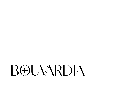## **BOUVARDIA**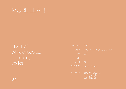### MORE LEAF!

olive leaf white chocolate

| Volume      | 200ml                                                 |
|-------------|-------------------------------------------------------|
| <b>ABV</b>  | 10.63%   1.7 standard drinks                          |
| °Bx         | 23                                                    |
| pH          | 3.3                                                   |
| <b>Acid</b> | nil                                                   |
| Allergens   | dairy, coeliac                                        |
| Producer    | <b>Spurrel Foraging</b><br>Pennyweight<br>Grainshaker |

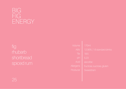# FIG

| <b>Jolume</b>              | $170$ ml                        |
|----------------------------|---------------------------------|
| <b>ABV</b>                 | $12.06\%$   1.6 standard drinks |
| $\mathcal{P}_{\mathsf{B}}$ | 18.5                            |
| pH                         | 5.23                            |
| <b>Acid</b>                | ascorbic                        |
| lergens                    | fructose, sucrose, gluten       |
| oducer                     | Sweetdram                       |
|                            |                                 |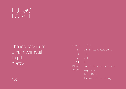

#### charred capsicum umami vermouth tequila mezcal

| Volume     | 110ml                               |
|------------|-------------------------------------|
| <b>ABV</b> | 24.32%   2.5 standard drinks        |
| <b>PBX</b> | 11                                  |
| þН         | 3.85                                |
| Acid       | nil                                 |
| Allergens  | fructose, histamine, mushroom       |
| Producer   | Arquitecto                          |
|            | Koch El Mezcal                      |
|            | <b>Imperial Measures Distilling</b> |
|            |                                     |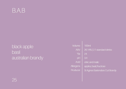

## black apple basil australian brandy

Volu

Allerg Produ



| <u>ume</u>      |
|-----------------|
| ABV             |
| $\overline{B}X$ |
| pH              |
| Acid            |
| jens            |
| <b>JCer</b>     |

 $100m$ 

| <b>LINE AND LINES</b>                 |
|---------------------------------------|
| 26.14%   2.1 standard drinks          |
| 24                                    |
| 3.4                                   |
| citric and malic                      |
| apples, basil, fructose               |
| <b>St Agnes Bartenders Cut Brandy</b> |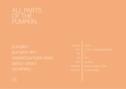| /olume        | <b>140ml</b>                    |
|---------------|---------------------------------|
| <b>ABV</b>    | $17.04\%$   1.9 standard drinks |
| °Bx           | 7                               |
| pH            | 3.77                            |
| <b>Acid</b>   | ascorbic                        |
| <u>ergēns</u> | pumpkin, dairy, coeliac         |
| oducer        | <b>Gospel Whisky</b>            |
|               |                                 |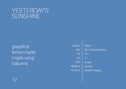# YESTERDAY'S<br>SUNSHINE

grapefruit lemon myrtle maple syrup balsamic

Volume **ABV**  $\mathbf{B}$ pH Acid

Allergens Producer

12

**185ml** 0% | 0 standard drinks 10.2 3.7 vinegar sucrose **Spurrel Foraging**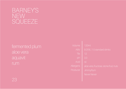#### BARNEY'S NEW **SQUEEZE**

### fermented plum aloe vera aquavit

| Volume         | 120ml                                  |
|----------------|----------------------------------------|
| <b>ABV</b>     | 9.25%   1.5 standard drinks            |
| $\mathbb{P}Bx$ | 12.                                    |
| pH             | 3.3                                    |
| <b>Acid</b>    | nil                                    |
| llergens       | aloe vera, fructose, stone fruit, nuts |
| roducer        | JimmyRum                               |
|                | <b>Never Never</b>                     |
|                |                                        |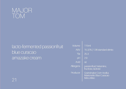

## lacto-fermented passionfruit blue curacao amazake cream

Volu

Allerg

Producer

21

| ume             |  |
|-----------------|--|
| ABV             |  |
| $\overline{B}X$ |  |
| pH              |  |
| Acid            |  |
| jens            |  |
|                 |  |

25.3 29 nil

passionfruit, histamine,

Grainshaker Corn Vodka

Marionette Blue Curacao

fructose, lactose

**Meru Miso** 

15.32% | 1.36 standard drinks

**115ml**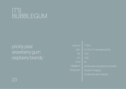#### IT'S BUBBLEGUM

#### prickly pear strawberry gum raspberry brandy

| Volume         | <b>175ml</b>                       |
|----------------|------------------------------------|
| <b>ABV</b>     | 5.31%   0.7 standard drinks        |
| $\mathrm{PEX}$ | 19.2                               |
| pH             | 3.49                               |
| <b>Acid</b>    | nil                                |
| Allergens      | prickly pear, eucalyptus, fructose |
| Producers      | <b>Spurrel Foraging</b>            |
|                | <b>Charles Reuben Brandy</b>       |
|                |                                    |

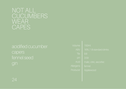#### NOT ALL **CUCUMBERS WEAR** CAPES

## acidified cucumber capers fennel seed

| <i><b>Volume</b></i> | <b>150ml</b>              |
|----------------------|---------------------------|
| <b>ABV</b>           | 16%   1.8 standard drinks |
| $\mathrm{PEX}$       | 9.8                       |
| pH                   | 3.59                      |
| <b>Acid</b>          | malic, citric, ascorbic   |
| lergens              | fennel                    |
| oducer               | Applewood                 |
|                      |                           |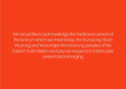We would like to acknowledge the traditional owners of the land on which we meet today, the Bunurong Boon Wurrung and Wurundjeri Woi Wurrung peoples of the Eastern Kulin Nation and pay our respects to Elders past, present and emerging